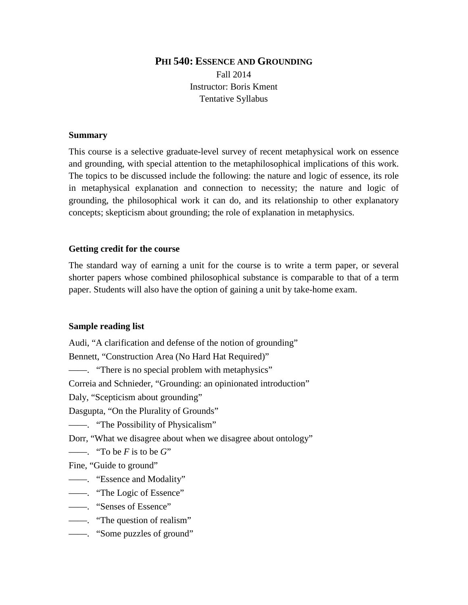## **PHI 540: ESSENCE AND GROUNDING**

Fall 2014 Instructor: Boris Kment Tentative Syllabus

## **Summary**

This course is a selective graduate-level survey of recent metaphysical work on essence and grounding, with special attention to the metaphilosophical implications of this work. The topics to be discussed include the following: the nature and logic of essence, its role in metaphysical explanation and connection to necessity; the nature and logic of grounding, the philosophical work it can do, and its relationship to other explanatory concepts; skepticism about grounding; the role of explanation in metaphysics.

## **Getting credit for the course**

The standard way of earning a unit for the course is to write a term paper, or several shorter papers whose combined philosophical substance is comparable to that of a term paper. Students will also have the option of gaining a unit by take-home exam.

## **Sample reading list**

Audi, "A clarification and defense of the notion of grounding"

Bennett, "Construction Area (No Hard Hat Required)"

——. "There is no special problem with metaphysics"

Correia and Schnieder, "Grounding: an opinionated introduction"

Daly, "Scepticism about grounding"

Dasgupta, "On the Plurality of Grounds"

——. "The Possibility of Physicalism"

Dorr, "What we disagree about when we disagree about ontology"

——. "To be *F* is to be *G*"

Fine, "Guide to ground"

- ——. "Essence and Modality"
- ——. "The Logic of Essence"
- ——. "Senses of Essence"
- ——. "The question of realism"
- ——. "Some puzzles of ground"